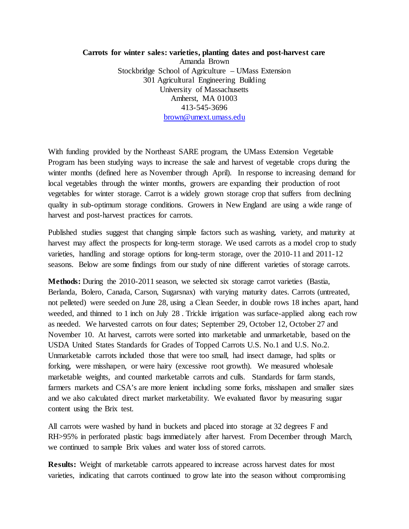## **Carrots for winter sales: varieties, planting dates and post-harvest care** Amanda Brown Stockbridge School of Agriculture – UMass Extension 301 Agricultural Engineering Building University of Massachusetts Amherst, MA 01003 413-545-3696 [brown@umext.umass.edu](mailto:brown@umext.umass.edu)

With funding provided by the Northeast SARE program, the UMass Extension Vegetable Program has been studying ways to increase the sale and harvest of vegetable crops during the winter months (defined here as November through April). In response to increasing demand for local vegetables through the winter months, growers are expanding their production of root vegetables for winter storage. Carrot is a widely grown storage crop that suffers from declining quality in sub-optimum storage conditions. Growers in New England are using a wide range of harvest and post-harvest practices for carrots.

Published studies suggest that changing simple factors such as washing, variety, and maturity at harvest may affect the prospects for long-term storage. We used carrots as a model crop to study varieties, handling and storage options for long-term storage, over the 2010-11 and 2011-12 seasons. Below are some findings from our study of nine different varieties of storage carrots.

**Methods:** During the 2010-2011 season, we selected six storage carrot varieties (Bastia, Berlanda, Bolero, Canada, Carson, Sugarsnax) with varying maturity dates. Carrots (untreated, not pelleted) were seeded on June 28, using a Clean Seeder, in double rows 18 inches apart, hand weeded, and thinned to 1 inch on July 28. Trickle irrigation was surface-applied along each row as needed. We harvested carrots on four dates; September 29, October 12, October 27 and November 10. At harvest, carrots were sorted into marketable and unmarketable, based on the USDA United States Standards for Grades of Topped Carrots U.S. No.1 and U.S. No.2. Unmarketable carrots included those that were too small, had insect damage, had splits or forking, were misshapen, or were hairy (excessive root growth). We measured wholesale marketable weights, and counted marketable carrots and culls. Standards for farm stands, farmers markets and CSA's are more lenient including some forks, misshapen and smaller sizes and we also calculated direct market marketability. We evaluated flavor by measuring sugar content using the Brix test.

All carrots were washed by hand in buckets and placed into storage at 32 degrees F and RH>95% in perforated plastic bags immediately after harvest. From December through March, we continued to sample Brix values and water loss of stored carrots.

**Results:** Weight of marketable carrots appeared to increase across harvest dates for most varieties, indicating that carrots continued to grow late into the season without compromising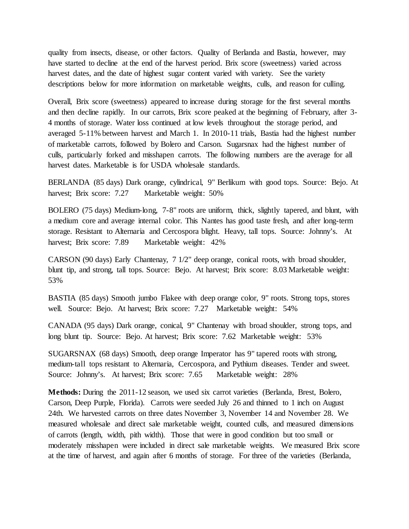quality from insects, disease, or other factors. Quality of Berlanda and Bastia, however, may have started to decline at the end of the harvest period. Brix score (sweetness) varied across harvest dates, and the date of highest sugar content varied with variety. See the variety descriptions below for more information on marketable weights, culls, and reason for culling.

Overall, Brix score (sweetness) appeared to increase during storage for the first several months and then decline rapidly. In our carrots, Brix score peaked at the beginning of February, after 3- 4 months of storage. Water loss continued at low levels throughout the storage period, and averaged 5-11% between harvest and March 1. In 2010-11 trials, Bastia had the highest number of marketable carrots, followed by Bolero and Carson. Sugarsnax had the highest number of culls, particularly forked and misshapen carrots. The following numbers are the average for all harvest dates. Marketable is for USDA wholesale standards.

BERLANDA (85 days) Dark orange, cylindrical, 9" Berlikum with good tops. Source: Bejo. At harvest; Brix score: 7.27 Marketable weight: 50%

BOLERO (75 days) Medium-long, 7-8" roots are uniform, thick, slightly tapered, and blunt, with a medium core and average internal color. This Nantes has good taste fresh, and after long-term storage. Resistant to Alternaria and Cercospora blight. Heavy, tall tops. Source: Johnny's. At harvest; Brix score: 7.89 Marketable weight: 42%

CARSON (90 days) Early Chantenay, 7 1/2" deep orange, conical roots, with broad shoulder, blunt tip, and strong, tall tops. Source: Bejo. At harvest; Brix score: 8.03 Marketable weight: 53%

BASTIA (85 days) Smooth jumbo Flakee with deep orange color, 9" roots. Strong tops, stores well. Source: Bejo. At harvest; Brix score: 7.27 Marketable weight: 54%

CANADA (95 days) Dark orange, conical, 9" Chantenay with broad shoulder, strong tops, and long blunt tip. Source: Bejo. At harvest; Brix score: 7.62 Marketable weight: 53%

SUGARSNAX (68 days) Smooth, deep orange Imperator has 9" tapered roots with strong, medium-tall tops resistant to Alternaria, Cercospora, and Pythium diseases. Tender and sweet. Source: Johnny's. At harvest; Brix score: 7.65 Marketable weight: 28%

**Methods:** During the 2011-12 season, we used six carrot varieties (Berlanda, Brest, Bolero, Carson, Deep Purple, Florida). Carrots were seeded July 26 and thinned to 1 inch on August 24th. We harvested carrots on three dates November 3, November 14 and November 28. We measured wholesale and direct sale marketable weight, counted culls, and measured dimensions of carrots (length, width, pith width). Those that were in good condition but too small or moderately misshapen were included in direct sale marketable weights. We measured Brix score at the time of harvest, and again after 6 months of storage. For three of the varieties (Berlanda,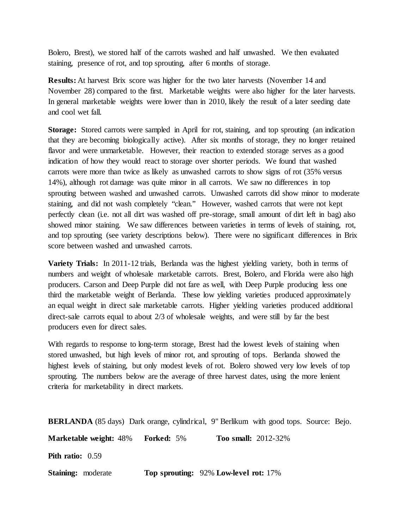Bolero, Brest), we stored half of the carrots washed and half unwashed. We then evaluated staining, presence of rot, and top sprouting, after 6 months of storage.

**Results:** At harvest Brix score was higher for the two later harvests (November 14 and November 28) compared to the first. Marketable weights were also higher for the later harvests. In general marketable weights were lower than in 2010, likely the result of a later seeding date and cool wet fall.

**Storage:** Stored carrots were sampled in April for rot, staining, and top sprouting (an indication that they are becoming biologically active). After six months of storage, they no longer retained flavor and were unmarketable. However, their reaction to extended storage serves as a good indication of how they would react to storage over shorter periods. We found that washed carrots were more than twice as likely as unwashed carrots to show signs of rot (35% versus 14%), although rot damage was quite minor in all carrots. We saw no differences in top sprouting between washed and unwashed carrots. Unwashed carrots did show minor to moderate staining, and did not wash completely "clean." However, washed carrots that were not kept perfectly clean (i.e. not all dirt was washed off pre-storage, small amount of dirt left in bag) also showed minor staining. We saw differences between varieties in terms of levels of staining, rot, and top sprouting (see variety descriptions below). There were no significant differences in Brix score between washed and unwashed carrots.

Variety Trials: In 2011-12 trials, Berlanda was the highest yielding variety, both in terms of numbers and weight of wholesale marketable carrots. Brest, Bolero, and Florida were also high producers. Carson and Deep Purple did not fare as well, with Deep Purple producing less one third the marketable weight of Berlanda. These low yielding varieties produced approximately an equal weight in direct sale marketable carrots. Higher yielding varieties produced additional direct-sale carrots equal to about 2/3 of wholesale weights, and were still by far the best producers even for direct sales.

With regards to response to long-term storage, Brest had the lowest levels of staining when stored unwashed, but high levels of minor rot, and sprouting of tops. Berlanda showed the highest levels of staining, but only modest levels of rot. Bolero showed very low levels of top sprouting. The numbers below are the average of three harvest dates, using the more lenient criteria for marketability in direct markets.

**BERLANDA** (85 days) Dark orange, cylindrical, 9" Berlikum with good tops. Source: Bejo.

**Marketable weight:** 48% **Forked:** 5% **Too small:** 2012-32%

**Pith ratio:** 0.59

**Staining:** moderate **Top sprouting:** 92% **Low-level rot:** 17%